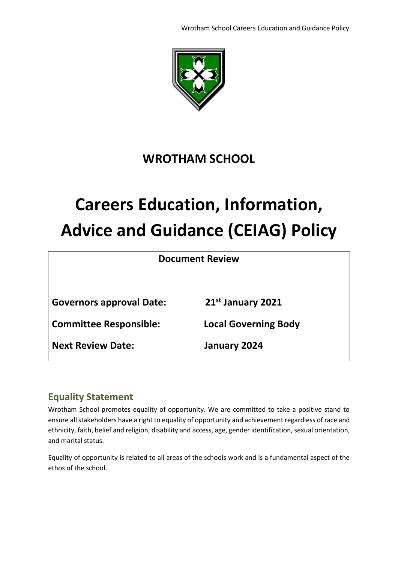Wrotham School Careers Education and Guidance Policy



# **WROTHAM SCHOOL**

# **Careers Education, Information, Advice and Guidance (CEIAG) Policy**

**Document Review**

**Governors approval Date: 21st January 2021**

**Committee Responsible: Local Governing Body**

**Next Review Date: January 2024**

# **Equality Statement**

Wrotham School promotes equality of opportunity. We are committed to take a positive stand to ensure all stakeholders have a right to equality of opportunity and achievement regardless of race and ethnicity, faith, belief and religion, disability and access, age, gender identification, sexual orientation, and marital status.

Equality of opportunity is related to all areas of the schools work and is a fundamental aspect of the ethos of the school.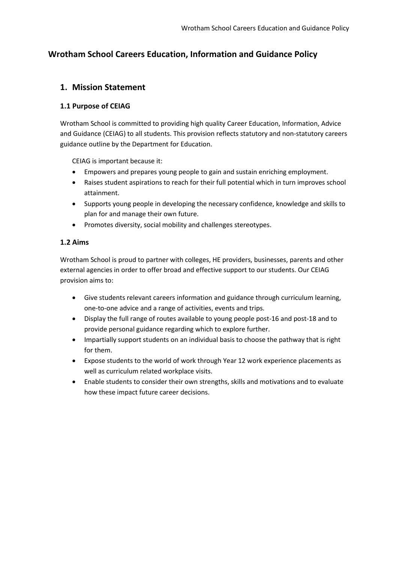# **Wrotham School Careers Education, Information and Guidance Policy**

### **1. Mission Statement**

#### **1.1 Purpose of CEIAG**

Wrotham School is committed to providing high quality Career Education, Information, Advice and Guidance (CEIAG) to all students. This provision reflects statutory and non-statutory careers guidance outline by the Department for Education.

CEIAG is important because it:

- Empowers and prepares young people to gain and sustain enriching employment.
- Raises student aspirations to reach for their full potential which in turn improves school attainment.
- Supports young people in developing the necessary confidence, knowledge and skills to plan for and manage their own future.
- Promotes diversity, social mobility and challenges stereotypes.

#### **1.2 Aims**

Wrotham School is proud to partner with colleges, HE providers, businesses, parents and other external agencies in order to offer broad and effective support to our students. Our CEIAG provision aims to:

- Give students relevant careers information and guidance through curriculum learning, one-to-one advice and a range of activities, events and trips.
- Display the full range of routes available to young people post-16 and post-18 and to provide personal guidance regarding which to explore further.
- Impartially support students on an individual basis to choose the pathway that is right for them.
- Expose students to the world of work through Year 12 work experience placements as well as curriculum related workplace visits.
- Enable students to consider their own strengths, skills and motivations and to evaluate how these impact future career decisions.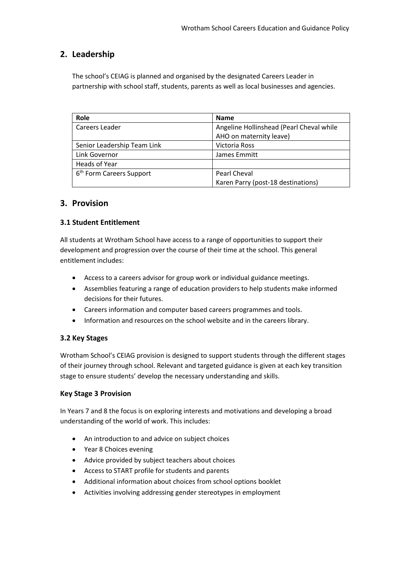# **2. Leadership**

The school's CEIAG is planned and organised by the designated Careers Leader in partnership with school staff, students, parents as well as local businesses and agencies.

| Role                                 | <b>Name</b>                              |
|--------------------------------------|------------------------------------------|
| Careers Leader                       | Angeline Hollinshead (Pearl Cheval while |
|                                      | AHO on maternity leave)                  |
| Senior Leadership Team Link          | <b>Victoria Ross</b>                     |
| Link Governor                        | James Emmitt                             |
| Heads of Year                        |                                          |
| 6 <sup>th</sup> Form Careers Support | Pearl Cheval                             |
|                                      | Karen Parry (post-18 destinations)       |

# **3. Provision**

#### **3.1 Student Entitlement**

All students at Wrotham School have access to a range of opportunities to support their development and progression over the course of their time at the school. This general entitlement includes:

- Access to a careers advisor for group work or individual guidance meetings.
- Assemblies featuring a range of education providers to help students make informed decisions for their futures.
- Careers information and computer based careers programmes and tools.
- Information and resources on the school website and in the careers library.

#### **3.2 Key Stages**

Wrotham School's CEIAG provision is designed to support students through the different stages of their journey through school. Relevant and targeted guidance is given at each key transition stage to ensure students' develop the necessary understanding and skills.

#### **Key Stage 3 Provision**

In Years 7 and 8 the focus is on exploring interests and motivations and developing a broad understanding of the world of work. This includes:

- An introduction to and advice on subject choices
- Year 8 Choices evening
- Advice provided by subject teachers about choices
- Access to START profile for students and parents
- Additional information about choices from school options booklet
- Activities involving addressing gender stereotypes in employment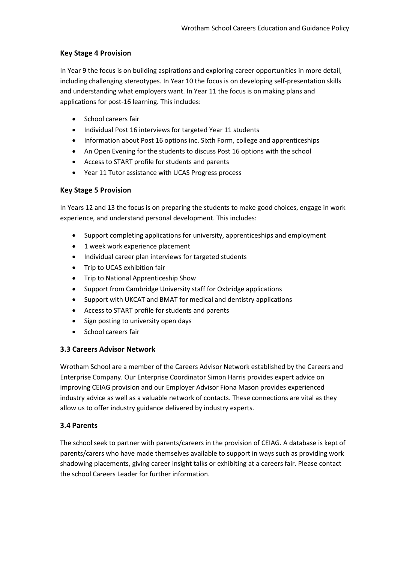#### **Key Stage 4 Provision**

In Year 9 the focus is on building aspirations and exploring career opportunities in more detail, including challenging stereotypes. In Year 10 the focus is on developing self-presentation skills and understanding what employers want. In Year 11 the focus is on making plans and applications for post-16 learning. This includes:

- School careers fair
- Individual Post 16 interviews for targeted Year 11 students
- Information about Post 16 options inc. Sixth Form, college and apprenticeships
- An Open Evening for the students to discuss Post 16 options with the school
- Access to START profile for students and parents
- Year 11 Tutor assistance with UCAS Progress process

#### **Key Stage 5 Provision**

In Years 12 and 13 the focus is on preparing the students to make good choices, engage in work experience, and understand personal development. This includes:

- Support completing applications for university, apprenticeships and employment
- 1 week work experience placement
- Individual career plan interviews for targeted students
- Trip to UCAS exhibition fair
- Trip to National Apprenticeship Show
- Support from Cambridge University staff for Oxbridge applications
- Support with UKCAT and BMAT for medical and dentistry applications
- Access to START profile for students and parents
- Sign posting to university open days
- School careers fair

#### **3.3 Careers Advisor Network**

Wrotham School are a member of the Careers Advisor Network established by the Careers and Enterprise Company. Our Enterprise Coordinator Simon Harris provides expert advice on improving CEIAG provision and our Employer Advisor Fiona Mason provides experienced industry advice as well as a valuable network of contacts. These connections are vital as they allow us to offer industry guidance delivered by industry experts.

#### **3.4 Parents**

The school seek to partner with parents/careers in the provision of CEIAG. A database is kept of parents/carers who have made themselves available to support in ways such as providing work shadowing placements, giving career insight talks or exhibiting at a careers fair. Please contact the school Careers Leader for further information.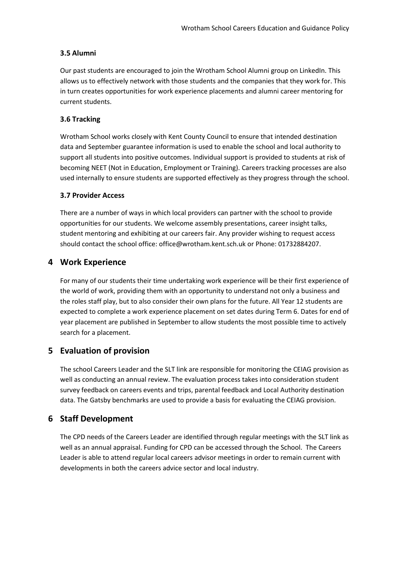#### **3.5 Alumni**

Our past students are encouraged to join the Wrotham School Alumni group on LinkedIn. This allows us to effectively network with those students and the companies that they work for. This in turn creates opportunities for work experience placements and alumni career mentoring for current students.

#### **3.6 Tracking**

Wrotham School works closely with Kent County Council to ensure that intended destination data and September guarantee information is used to enable the school and local authority to support all students into positive outcomes. Individual support is provided to students at risk of becoming NEET (Not in Education, Employment or Training). Careers tracking processes are also used internally to ensure students are supported effectively as they progress through the school.

#### **3.7 Provider Access**

There are a number of ways in which local providers can partner with the school to provide opportunities for our students. We welcome assembly presentations, career insight talks, student mentoring and exhibiting at our careers fair. Any provider wishing to request access should contact the school office: office@wrotham.kent.sch.uk or Phone: 01732884207.

# **4 Work Experience**

For many of our students their time undertaking work experience will be their first experience of the world of work, providing them with an opportunity to understand not only a business and the roles staff play, but to also consider their own plans for the future. All Year 12 students are expected to complete a work experience placement on set dates during Term 6. Dates for end of year placement are published in September to allow students the most possible time to actively search for a placement.

# **5 Evaluation of provision**

The school Careers Leader and the SLT link are responsible for monitoring the CEIAG provision as well as conducting an annual review. The evaluation process takes into consideration student survey feedback on careers events and trips, parental feedback and Local Authority destination data. The Gatsby benchmarks are used to provide a basis for evaluating the CEIAG provision.

# **6 Staff Development**

The CPD needs of the Careers Leader are identified through regular meetings with the SLT link as well as an annual appraisal. Funding for CPD can be accessed through the School. The Careers Leader is able to attend regular local careers advisor meetings in order to remain current with developments in both the careers advice sector and local industry.